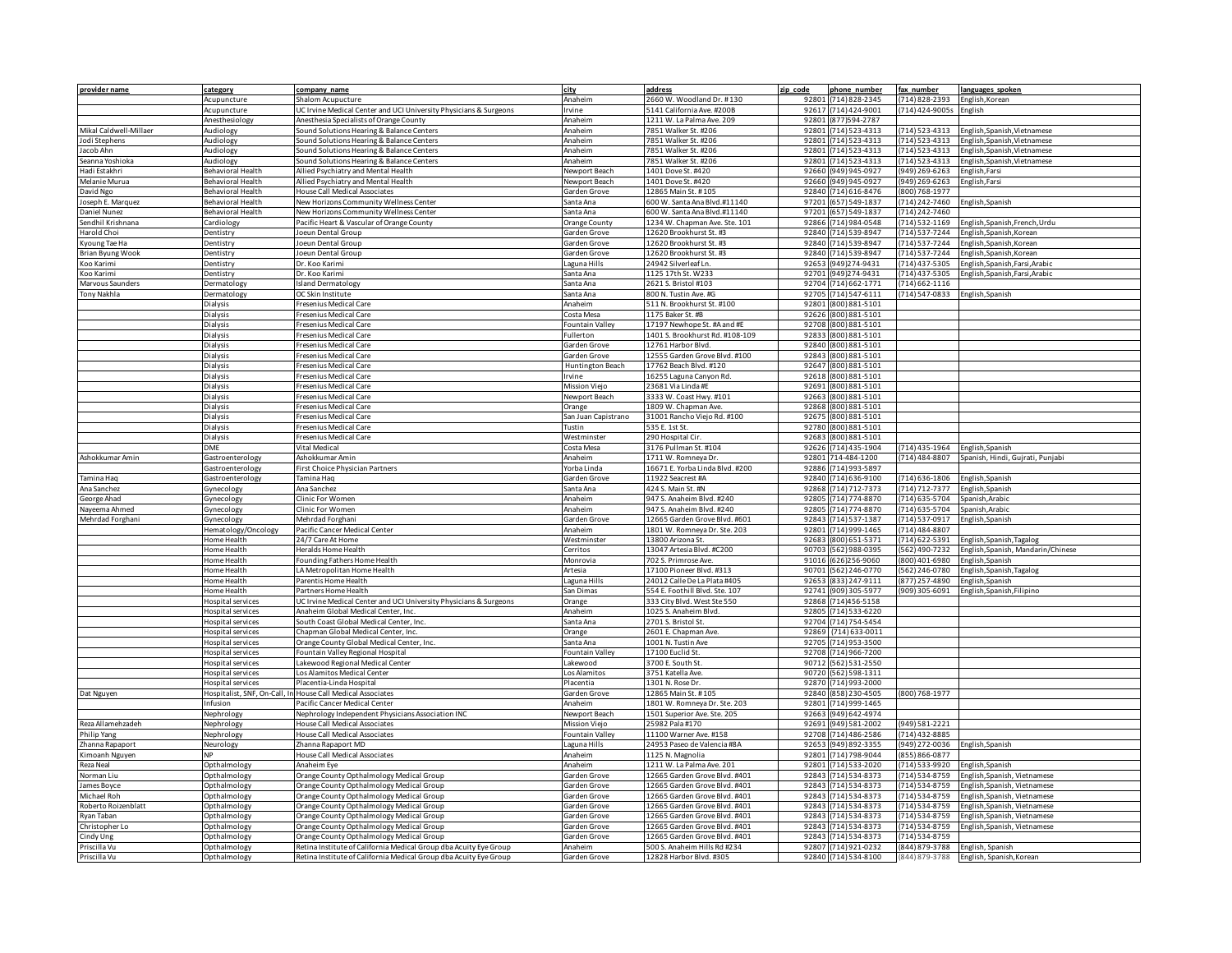| provider name                     | category                                         | company name                                                                           | city                          | address                                                        | zip code       | phone number                           | fax number                           | languages spoken                                             |
|-----------------------------------|--------------------------------------------------|----------------------------------------------------------------------------------------|-------------------------------|----------------------------------------------------------------|----------------|----------------------------------------|--------------------------------------|--------------------------------------------------------------|
|                                   | Acupuncture                                      | Shalom Acupucture                                                                      | Anaheim                       | 2660 W. Woodland Dr. #130                                      | 92801          | (714) 828-2345                         | (714) 828-2393                       | English, Korean                                              |
|                                   | Acupuncture                                      | UC Irvine Medical Center and UCI University Physicians & Surgeons                      | rvine                         | 5141 California Ave. #200B                                     | 92617          | (714) 424-9001                         | (714) 424-9005s English              |                                                              |
|                                   | Anesthesiology                                   | Anesthesia Specialists of Orange County                                                | Anaheim                       | 1211 W. La Palma Ave. 209                                      | 92801          | (877) 594-2787                         |                                      |                                                              |
| Mikal Caldwell-Millaer            | Audiology                                        | Sound Solutions Hearing & Balance Centers                                              | Anaheim                       | 7851 Walker St. #206                                           |                | 92801 (714) 523-4313                   | $(714) 523 - 4313$                   | English, Spanish, Vietnamese                                 |
| Jodi Stephens<br>Jacob Ahn        | Audiology<br>Audiology                           | Sound Solutions Hearing & Balance Centers<br>Sound Solutions Hearing & Balance Centers | Anaheim<br>Anaheim            | 7851 Walker St. #206<br>7851 Walker St. #206                   | 92801          | (714) 523-4313<br>92801 (714) 523-4313 | $(714) 523 - 4313$<br>(714) 523-4313 | English. Spanish. Vietnamese<br>English, Spanish, Vietnamese |
| Seanna Yoshioka                   | Audiology                                        | Sound Solutions Hearing & Balance Centers                                              | Anaheim                       | 7851 Walker St. #206                                           |                | 92801 (714) 523-4313                   | (714) 523-4313                       | English, Spanish, Vietnamese                                 |
| Hadi Estakhri                     | Behavioral Health                                | Allied Psychiatry and Mental Health                                                    | Jewport Beach                 | 1401 Dove St. #420                                             | 92660          | (949) 945-0927                         | (949) 269-6263                       | English, Farsi                                               |
| Melanie Murua                     | <b>Behavioral Health</b>                         | Allied Psychiatry and Mental Health                                                    | Newport Beach                 | 1401 Dove St. #420                                             | 92660          | (949) 945-0927                         | (949) 269-6263                       | English, Farsi                                               |
| David Ngo                         | ehavioral Health                                 | House Call Medical Associates                                                          | Garden Grove                  | 12865 Main St. #105                                            | 92840          | $(714)616-8476$                        | (800) 768-1977                       |                                                              |
| Joseph E. Marquez                 | Behavioral Health                                | New Horizons Community Wellness Center                                                 | Santa Ana                     | 600 W. Santa Ana Blvd.#11140                                   | 97201          | (657) 549-1837                         | $(714)$ 242-7460                     | English, Spanish                                             |
| Daniel Nunez                      | Behavioral Health                                | New Horizons Community Wellness Center                                                 | Santa Ana                     | 600 W. Santa Ana Blvd.#11140                                   | 97201          | (657) 549-1837                         | (714) 242-7460                       |                                                              |
| Sendhil Krishnana                 | Cardiology                                       | Pacific Heart & Vascular of Orange County                                              | Orange County                 | 1234 W. Chapman Ave. Ste. 101                                  | 92866          | (714) 984-0548                         | $(714)$ 532-1169                     | English, Spanish, French, Urdu                               |
| Harold Choi                       | entistry                                         | Joeun Dental Group                                                                     | Garden Grove                  | 12620 Brookhurst St. #3                                        | 92840          | (714) 539-8947                         | (714) 537-7244                       | English, Spanish, Korean                                     |
| Kyoung Tae Ha                     | entistry                                         | Joeun Dental Group                                                                     | Garden Grove                  | 12620 Brookhurst St. #3                                        | 92840          | (714) 539-8947                         | (714) 537-7244                       | English, Spanish, Korean                                     |
| <b>Brian Byung Wook</b>           | entistry                                         | Joeun Dental Group                                                                     | Garden Grove                  | 12620 Brookhurst St. #3                                        | 92840          | (714) 539-8947                         | (714) 537-7244                       | English, Spanish, Korean                                     |
| Koo Karimi                        | entistry                                         | Dr. Koo Karimi                                                                         | aguna Hills                   | 24942 Silverleaf Ln.                                           | 92653          | 949)274-9431                           | $(714)$ 437-5305                     | English, Spanish, Farsi, Arabio                              |
| oo Karimi<br>Marvous Saunders     | entistry<br><b>Dermatology</b>                   | Dr. Koo Karimi<br><b>Island Dermatology</b>                                            | Santa Ana<br>Santa Ana        | 1125 17th St. W233<br>2621 S. Bristol #103                     | 92701<br>92704 | (949)274-9431<br>(714) 662-1771        | $(714)$ 437-5305<br>(714) 662-1116   | English, Spanish, Farsi, Arabic                              |
| Tony Nakhla                       | Dermatology                                      | OC Skin Institute                                                                      | Santa Ana                     | 800 N. Tustin Ave. #G                                          | 92705          | $(714) 547 - 6111$                     | (714) 547-0833 English, Spanish      |                                                              |
|                                   | Dialysis                                         | Fresenius Medical Care                                                                 | Anaheim                       | 511 N. Brookhurst St. #100                                     | 92801          | (800) 881-5101                         |                                      |                                                              |
|                                   | Dialysis                                         | Fresenius Medical Care                                                                 | Costa Mesa                    | 1175 Baker St. #B                                              | 92626          | (800) 881-5101                         |                                      |                                                              |
|                                   | ialysis                                          | resenius Medical Care                                                                  | ountain Valley                | 17197 Newhope St. #A and #E                                    | 92708          | 800) 881-5101                          |                                      |                                                              |
|                                   | <b>Dialysis</b>                                  | Fresenius Medical Care                                                                 | ullerton                      | 1401 S. Brookhurst Rd. #108-109                                | 92833          | 800) 881-5101                          |                                      |                                                              |
|                                   | Dialysis                                         | Fresenius Medical Care                                                                 | Garden Grove                  | 12761 Harbor Blvd.                                             | 92840          | (800) 881-5101                         |                                      |                                                              |
|                                   | Jialysis                                         | resenius Medical Care                                                                  | Garden Grove                  | 12555 Garden Grove Blvd. #100                                  | 92843          | 800) 881-5101                          |                                      |                                                              |
|                                   | <b>Dialysis</b>                                  | resenius Medical Care                                                                  | <b>Huntington Beach</b>       | 17762 Beach Blvd. #120                                         | 92647          | 800) 881-5101                          |                                      |                                                              |
|                                   | ialysis                                          | resenius Medical Care                                                                  | rvine                         | 16255 Laguna Canyon Rd.                                        | 92618          | 800) 881-5101                          |                                      |                                                              |
|                                   | ialysis                                          | resenius Medical Care                                                                  | Mission Viejo                 | 23681 Via Linda #E                                             | 92691          | 800) 881-5101                          |                                      |                                                              |
|                                   | ialysis                                          | resenius Medical Care                                                                  | lewport Beach                 | 3333 W. Coast Hwy. #101                                        | 92663          | 800) 881-5101                          |                                      |                                                              |
|                                   | ialysis                                          | Fresenius Medical Care                                                                 | Orange                        | 1809 W. Chapman Ave                                            | 92868          | 800) 881-5101                          |                                      |                                                              |
|                                   | ialysis<br><b>Dialysis</b>                       | Fresenius Medical Care<br>Fresenius Medical Care                                       | San Juan Capistrano<br>Tustin | 31001 Rancho Viejo Rd. #100<br>535 E. 1st St                   | 92675<br>92780 | (800) 881-5101<br>800) 881-5101        |                                      |                                                              |
|                                   | Dialysis                                         | Fresenius Medical Care                                                                 | Westminster                   | 290 Hospital Cir                                               | 92683          | 800) 881-5101                          |                                      |                                                              |
|                                   | DME                                              | <b>Vital Medical</b>                                                                   | Costa Mesa                    | 3176 Pullman St. #104                                          | 92626          | $(714)$ 435-1904                       | $(714)$ 435-1964                     | English.Spanish                                              |
| Ashokkumar Amin                   | Gastroenterology                                 | Ashokkumar Amin                                                                        | Anaheim                       | 1711 W. Romneya Dr.                                            | 92801          | 714-484-1200                           | $(714)484 - 8807$                    | Spanish, Hindi, Gujrati, Punjabi                             |
|                                   | Gastroenterology                                 | First Choice Physician Partners                                                        | rorba Linda                   | 16671 E. Yorba Linda Blvd. #200                                | 92886          | (714) 993-5897                         |                                      |                                                              |
| Tamina Haq                        | Gastroenterology                                 | Tamina Hao                                                                             | Garden Grove                  | 11922 Seacrest #A                                              | 92840          | (714) 636-9100                         | $(714)$ 636-1806                     | English, Spanish                                             |
| Ana Sanchez                       | Synecology                                       | Ana Sanchez                                                                            | Santa Ana                     | 424 S. Main St. #N                                             | 92868          | 714) 712-7373                          | $(714) 712 - 7377$                   | English, Spanish                                             |
| George Ahad                       | Gynecology                                       | Clinic For Women                                                                       | Anaheim                       | 947 S. Anaheim Blyd, #240                                      | 92805          | (714) 774-8870                         | $(714)$ 635-5704                     | Spanish.Arabic                                               |
| Nayeema Ahmed                     | Gynecology                                       | Clinic For Women                                                                       | Anaheim                       | 947 S. Anaheim Blvd. #240                                      | 92805          | (714) 774-8870                         | $(714)$ 635-5704                     | Spanish, Arabic                                              |
| Mehrdad Forghani                  | Gynecology                                       | Mehrdad Forghani                                                                       | Garden Grove                  | 12665 Garden Grove Blvd. #601                                  | 92843          | (714) 537-1387                         | (714) 537-0917                       | English, Spanish                                             |
|                                   | Hematology/Oncology                              | Pacific Cancer Medical Center                                                          | Anaheim                       | 1801 W. Romneya Dr. Ste. 203                                   | 92801          | (714) 999-1465                         | $(714)$ 484-8807                     |                                                              |
|                                   | Home Health                                      | 24/7 Care At Home                                                                      | Westminster                   | 13800 Arizona St                                               | 92683          | 800) 651-5371                          | $(714)622 - 5391$                    | English, Spanish, Tagalog                                    |
|                                   | Home Health<br>Home Health                       | Heralds Home Health<br>Founding Fathers Home Health                                    | Cerritos<br>Monrovia          | 13047 Artesia Blvd. #C200<br>702 S. Primrose Ave.              | 90703<br>91016 | 562) 988-0395<br>(626)256-9060         | (562) 490-7232<br>(800) 401-6980     | English, Spanish, Mandarin/Chinese<br>English, Spanish       |
|                                   | Home Health                                      | LA Metropolitan Home Health                                                            | Artesia                       | 17100 Pioneer Blvd. #313                                       | 90701          | (562) 246-0770                         | (562) 246-0780                       | English, Spanish, Tagalog                                    |
|                                   | Home Health                                      | Parentis Home Health                                                                   | Laguna Hills                  | 24012 Calle De La Plata #405                                   | 92653          | (833) 247-9111                         | (877) 257-4890                       | English, Spanish                                             |
|                                   | Home Health                                      | Partners Home Health                                                                   | San Dimas                     | 554 E. Foothill Blvd. Ste. 107                                 | 92741          | (909) 305-5977                         | (909) 305-6091                       | English, Spanish, Filipino                                   |
|                                   | Hospital services                                | UC Irvine Medical Center and UCI University Physicians & Surgeons                      | Orange                        | 333 City Blvd. West Ste 550                                    | 92868          | 714)456-5158                           |                                      |                                                              |
|                                   | Hospital services                                | Anaheim Global Medical Center, Inc.                                                    | Anaheim                       | 1025 S. Anaheim Blvd.                                          | 92805          | (714) 533-6220                         |                                      |                                                              |
|                                   | ospital services                                 | South Coast Global Medical Center, Inc.                                                | Santa Ana                     | 2701 S. Bristol St.                                            | 92704          | 714) 754-5454                          |                                      |                                                              |
|                                   | ospital services                                 | Chapman Global Medical Center, Inc.                                                    | Orange                        | 2601 E. Chapman Ave.                                           | 92869          | $(714)633-0011$                        |                                      |                                                              |
|                                   | ospital services                                 | Orange County Global Medical Center, Inc.                                              | Santa Ana                     | 1001 N. Tustin Ave                                             | 92705          | (714) 953-3500                         |                                      |                                                              |
|                                   | ospital services                                 | Fountain Valley Regional Hospital                                                      | Fountain Valley               | 17100 Euclid St.                                               | 92708          | (714) 966-7200                         |                                      |                                                              |
|                                   | ospital services                                 | akewood Regional Medical Center                                                        | akewood                       | 3700 E. South St.                                              | 90712          | (562) 531-2550                         |                                      |                                                              |
|                                   | ospital services                                 | os Alamitos Medical Center                                                             | os Alamitos                   | 3751 Katella Ave.                                              | 90720          | (562) 598-1311<br>92870 (714) 993-2000 |                                      |                                                              |
| Dat Nguyen                        | ospital services<br>ospitalist, SNF, On-Call, In | Placentia-Linda Hospital<br><b>House Call Medical Associates</b>                       | lacentia<br>Garden Grove      | 1301 N. Rose Dr.<br>12865 Main St. #105                        | 92840          | (858) 230-4505                         | (800) 768-1977                       |                                                              |
|                                   | nfusion                                          | Pacific Cancer Medical Center                                                          | Anaheim                       | 1801 W. Romneya Dr. Ste. 203                                   |                | 92801 (714) 999-1465                   |                                      |                                                              |
|                                   | Vephrology                                       | Nephrology Independent Physicians Association INC                                      | <b>Newport Beach</b>          | 1501 Superior Ave. Ste. 205                                    | 92663          | (949) 642-4974                         |                                      |                                                              |
| Reza Allamehzadeh                 | Nephrology                                       | House Call Medical Associates                                                          | Mission Viejo                 | 25982 Pala #170                                                |                | 92691 (949) 581-2002                   | (949) 581-2221                       |                                                              |
| Philip Yang                       | Nephrology                                       | House Call Medical Associates                                                          | Fountain Valley               | 11100 Warner Ave. #158                                         |                | 92708 (714) 486-2586                   | $(714)$ 432-8885                     |                                                              |
| Zhanna Rapaport                   | Neurology                                        | Zhanna Rapaport MD                                                                     | aguna Hills                   | 24953 Paseo de Valencia #8A                                    | 92653          | (949) 892-3355                         | (949) 272-0036                       | English, Spanish                                             |
| Kimoanh Nguyen                    |                                                  | House Call Medical Associates                                                          | Anaheim                       | 1125 N. Magnolia                                               | 92801          | (714) 798-9044                         | (855) 866-0877                       |                                                              |
| Reza Neal                         | Opthalmology                                     | Anaheim Eye                                                                            | Anaheim                       | 1211 W. La Palma Ave. 201                                      |                | 92801 (714) 533-2020                   | (714) 533-9920                       | English, Spanish                                             |
| Norman Liu                        | Opthalmology                                     | Orange County Opthalmology Medical Group                                               | Garden Grove                  | 12665 Garden Grove Blvd. #401                                  | 92843          | (714) 534-8373                         | (714) 534-8759                       | English, Spanish, Vietnamese                                 |
| James Boyce                       | Opthalmology                                     | Orange County Opthalmology Medical Group                                               | Garden Grove                  | 12665 Garden Grove Blvd. #401                                  | 92843          | (714) 534-8373                         | $(714)$ 534-8759                     | English, Spanish, Vietnamese                                 |
| Michael Roh                       | Opthalmology                                     | Orange County Opthalmology Medical Group                                               | Garden Grove                  | 12665 Garden Grove Blvd. #401                                  | 92843<br>92843 | (714) 534-8373                         | (714) 534-8759                       | English, Spanish, Vietnamese                                 |
| Roberto Roizenblatt<br>Ryan Taban | Opthalmology                                     | Orange County Opthalmology Medical Group<br>Orange County Opthalmology Medical Group   | Garden Grove<br>Garden Grove  | 12665 Garden Grove Blvd. #401<br>12665 Garden Grove Blvd. #401 | 92843          | (714) 534-8373<br>(714) 534-8373       | (714) 534-8759<br>(714) 534-8759     | English, Spanish, Vietnamese<br>English, Spanish, Vietnamese |
| Christopher Lo                    | Opthalmology<br>Opthalmology                     | Orange County Opthalmology Medical Group                                               | Garden Grove                  | 12665 Garden Grove Blvd. #401                                  | 92843          | (714) 534-8373                         | (714) 534-8759                       | English, Spanish, Vietnamese                                 |
| indy Ung                          | Opthalmology                                     | Orange County Opthalmology Medical Group                                               | Garden Grove                  | 12665 Garden Grove Blvd. #401                                  | 92843          | (714) 534-8373                         | (714) 534-8759                       |                                                              |
| Priscilla Vu                      | Opthalmology                                     | Retina Institute of California Medical Group dba Acuity Eye Group                      | Anaheim                       | 500 S. Anaheim Hills Rd #234                                   |                | 92807 (714) 921-0232                   | (844) 879-3788                       | English, Spanish                                             |
| Priscilla Vu                      | Opthalmology                                     | Retina Institute of California Medical Group dba Acuity Eye Group                      | Garden Grove                  | 12828 Harbor Blvd. #305                                        |                | 92840 (714) 534-8100                   | (844) 879-3788                       | English, Spanish, Korean                                     |
|                                   |                                                  |                                                                                        |                               |                                                                |                |                                        |                                      |                                                              |